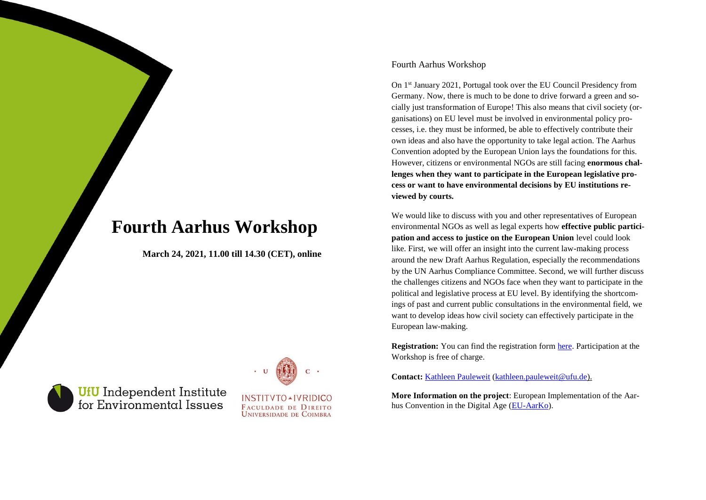# **Fourth Aarhus Workshop**

**March 24, 2021, 11.00 till 14.30 (CET), online**



**UfU** Independent Institute<br>for Environmental Issues



FACULDADE DE DIREITO **UNIVERSIDADE DE COIMBRA** 

### Fourth Aarhus Workshop

On 1st January 2021, Portugal took over the EU Council Presidency from Germany. Now, there is much to be done to drive forward a green and socially just transformation of Europe! This also means that civil society (organisations) on EU level must be involved in environmental policy processes, i.e. they must be informed, be able to effectively contribute their own ideas and also have the opportunity to take legal action. The Aarhus Convention adopted by the European Union lays the foundations for this. However, citizens or environmental NGOs are still facing **enormous challenges when they want to participate in the European legislative process or want to have environmental decisions by EU institutions reviewed by courts.**

We would like to discuss with you and other representatives of European environmental NGOs as well as legal experts how **effective public participation and access to justice on the European Union** level could look like. First, we will offer an insight into the current law-making process around the new Draft Aarhus Regulation, especially the recommendations by the UN Aarhus Compliance Committee. Second, we will further discuss the challenges citizens and NGOs face when they want to participate in the political and legislative process at EU level. By identifying the shortcomings of past and current public consultations in the environmental field, we want to develop ideas how civil society can effectively participate in the European law-making.

**Registration:** You can find the registration form [here.](https://www.ufu.de/aarhus-workshop/) Participation at the Workshop is free of charge.

**Contact:** [Kathleen Pauleweit](https://www.ufu.de/ueber-uns/team/kathleen-pauleweit/) [\(kathleen.pauleweit@ufu.de\).](mailto:kathleen.pauleweit@ufu.de)

**More Information on the project**: European Implementation of the Aarhus Convention in the Digital Age [\(EU-AarKo\)](https://www.ufu.de/en/projekt/eu-aarko/).